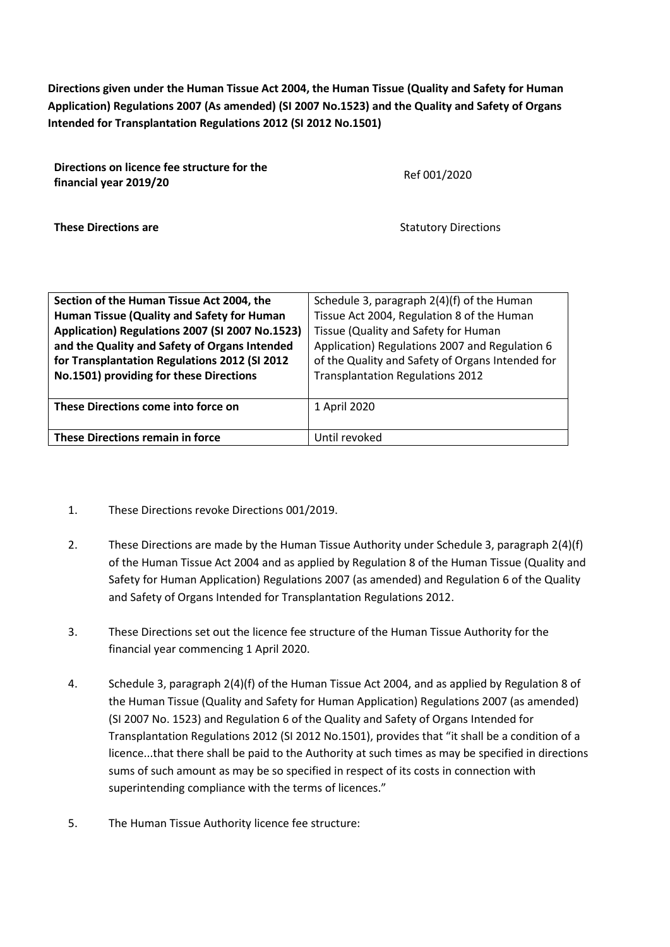**Directions given under the Human Tissue Act 2004, the Human Tissue (Quality and Safety for Human Application) Regulations 2007 (As amended) (SI 2007 No.1523) and the Quality and Safety of Organs Intended for Transplantation Regulations 2012 (SI 2012 No.1501)**

| Directions on licence fee structure for the<br>financial year 2019/20 | Ref 001/2020                |
|-----------------------------------------------------------------------|-----------------------------|
| <b>These Directions are</b>                                           | <b>Statutory Directions</b> |

| Section of the Human Tissue Act 2004, the       | Schedule 3, paragraph 2(4)(f) of the Human       |  |  |  |  |
|-------------------------------------------------|--------------------------------------------------|--|--|--|--|
| Human Tissue (Quality and Safety for Human      | Tissue Act 2004, Regulation 8 of the Human       |  |  |  |  |
| Application) Regulations 2007 (SI 2007 No.1523) | Tissue (Quality and Safety for Human             |  |  |  |  |
| and the Quality and Safety of Organs Intended   | Application) Regulations 2007 and Regulation 6   |  |  |  |  |
| for Transplantation Regulations 2012 (SI 2012   | of the Quality and Safety of Organs Intended for |  |  |  |  |
| No.1501) providing for these Directions         | <b>Transplantation Regulations 2012</b>          |  |  |  |  |
|                                                 |                                                  |  |  |  |  |
| These Directions come into force on             | 1 April 2020                                     |  |  |  |  |
|                                                 |                                                  |  |  |  |  |
| These Directions remain in force                | Until revoked                                    |  |  |  |  |

- 1. These Directions revoke Directions 001/2019.
- 2. These Directions are made by the Human Tissue Authority under Schedule 3, paragraph 2(4)(f) of the Human Tissue Act 2004 and as applied by Regulation 8 of the Human Tissue (Quality and Safety for Human Application) Regulations 2007 (as amended) and Regulation 6 of the Quality and Safety of Organs Intended for Transplantation Regulations 2012.
- 3. These Directions set out the licence fee structure of the Human Tissue Authority for the financial year commencing 1 April 2020.
- 4. Schedule 3, paragraph 2(4)(f) of the Human Tissue Act 2004, and as applied by Regulation 8 of the Human Tissue (Quality and Safety for Human Application) Regulations 2007 (as amended) (SI 2007 No. 1523) and Regulation 6 of the Quality and Safety of Organs Intended for Transplantation Regulations 2012 (SI 2012 No.1501), provides that "it shall be a condition of a licence...that there shall be paid to the Authority at such times as may be specified in directions sums of such amount as may be so specified in respect of its costs in connection with superintending compliance with the terms of licences."
- 5. The Human Tissue Authority licence fee structure: